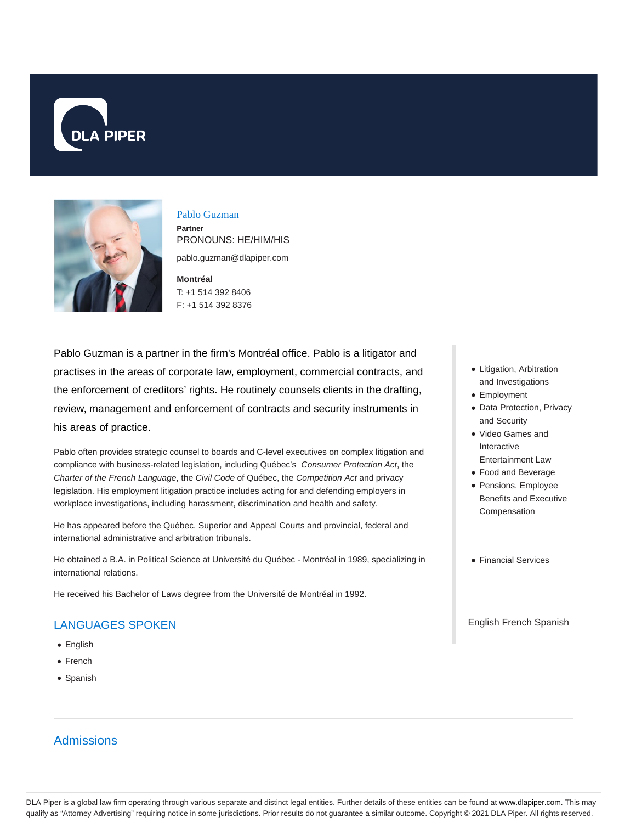



Pablo Guzman **Partner**

PRONOUNS: HE/HIM/HIS pablo.guzman@dlapiper.com

**Montréal** T: +1 514 392 8406 F: +1 514 392 8376

Pablo Guzman is a partner in the firm's Montréal office. Pablo is a litigator and practises in the areas of corporate law, employment, commercial contracts, and the enforcement of creditors' rights. He routinely counsels clients in the drafting, review, management and enforcement of contracts and security instruments in his areas of practice.

Pablo often provides strategic counsel to boards and C-level executives on complex litigation and compliance with business-related legislation, including Québec's Consumer Protection Act, the Charter of the French Language, the Civil Code of Québec, the Competition Act and privacy legislation. His employment litigation practice includes acting for and defending employers in workplace investigations, including harassment, discrimination and health and safety.

He has appeared before the Québec, Superior and Appeal Courts and provincial, federal and international administrative and arbitration tribunals.

He obtained a B.A. in Political Science at Université du Québec - Montréal in 1989, specializing in international relations.

He received his Bachelor of Laws degree from the Université de Montréal in 1992.

# LANGUAGES SPOKEN

- English
- French
- Spanish

## Admissions

- Litigation, Arbitration and Investigations
- Employment
- Data Protection, Privacy and Security
- Video Games and Interactive Entertainment Law
- Food and Beverage
- Pensions, Employee Benefits and Executive Compensation
- Financial Services

### English French Spanish

DLA Piper is a global law firm operating through various separate and distinct legal entities. Further details of these entities can be found at www.dlapiper.com. This may qualify as "Attorney Advertising" requiring notice in some jurisdictions. Prior results do not guarantee a similar outcome. Copyright © 2021 DLA Piper. All rights reserved.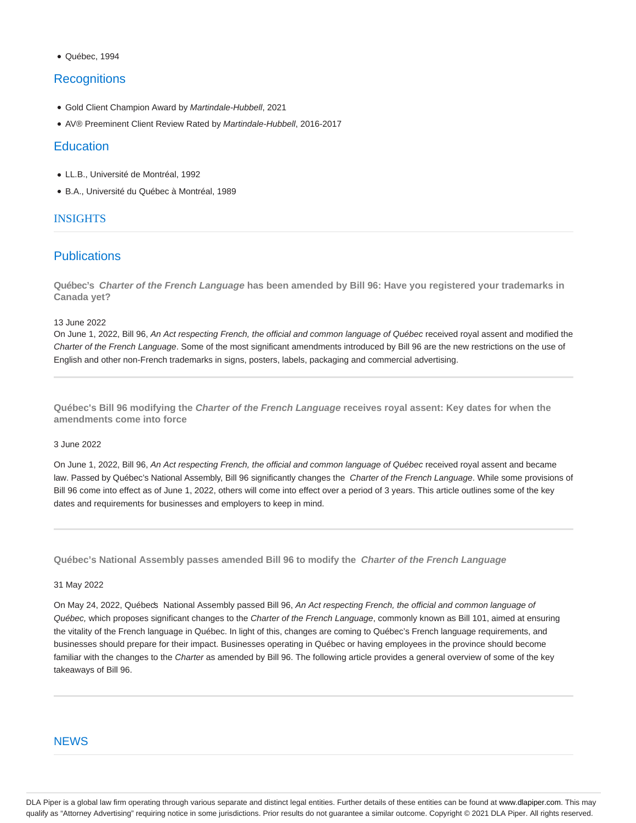#### Québec, 1994

## **Recognitions**

- Gold Client Champion Award by Martindale-Hubbell, 2021
- AV® Preeminent Client Review Rated by Martindale-Hubbell, 2016-2017

### **Education**

- LL.B., Université de Montréal, 1992
- B.A., Université du Québec à Montréal, 1989

### INSIGHTS

## **Publications**

**Québec's Charter of the French Language has been amended by Bill 96: Have you registered your trademarks in Canada yet?**

13 June 2022

On June 1, 2022, Bill 96, An Act respecting French, the official and common language of Québec received royal assent and modified the Charter of the French Language. Some of the most significant amendments introduced by Bill 96 are the new restrictions on the use of English and other non-French trademarks in signs, posters, labels, packaging and commercial advertising.

**Québec's Bill 96 modifying the Charter of the French Language receives royal assent: Key dates for when the amendments come into force**

### 3 June 2022

On June 1, 2022, Bill 96, An Act respecting French, the official and common language of Québec received royal assent and became law. Passed by Québec's National Assembly, Bill 96 significantly changes the Charter of the French Language. While some provisions of Bill 96 come into effect as of June 1, 2022, others will come into effect over a period of 3 years. This article outlines some of the key dates and requirements for businesses and employers to keep in mind.

**Québec's National Assembly passes amended Bill 96 to modify the Charter of the French Language**

#### 31 May 2022

On May 24, 2022, Québecs National Assembly passed Bill 96, An Act respecting French, the official and common language of Québec, which proposes significant changes to the Charter of the French Language, commonly known as Bill 101, aimed at ensuring the vitality of the French language in Québec. In light of this, changes are coming to Québec's French language requirements, and businesses should prepare for their impact. Businesses operating in Québec or having employees in the province should become familiar with the changes to the Charter as amended by Bill 96. The following article provides a general overview of some of the key takeaways of Bill 96.

### **NEWS**

DLA Piper is a global law firm operating through various separate and distinct legal entities. Further details of these entities can be found at www.dlapiper.com. This may qualify as "Attorney Advertising" requiring notice in some jurisdictions. Prior results do not guarantee a similar outcome. Copyright © 2021 DLA Piper. All rights reserved.